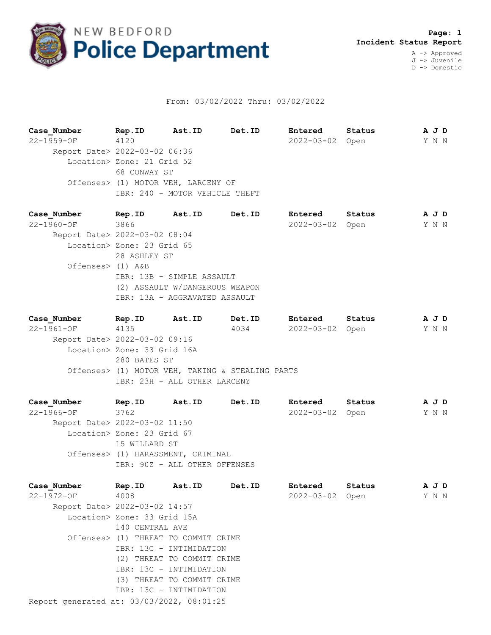

## From: 03/02/2022 Thru: 03/02/2022

**Case\_Number Rep.ID Ast.ID Det.ID Entered Status A J D** 22-1959-OF 4120 2022-03-02 Open Y N N Report Date> 2022-03-02 06:36 Location> Zone: 21 Grid 52 68 CONWAY ST Offenses> (1) MOTOR VEH, LARCENY OF IBR: 240 - MOTOR VEHICLE THEFT

**Case\_Number Rep.ID Ast.ID Det.ID Entered Status A J D** 22-1960-OF 3866 2022-03-02 Open Y N N Report Date> 2022-03-02 08:04 Location> Zone: 23 Grid 65 28 ASHLEY ST Offenses> (1) A&B IBR: 13B - SIMPLE ASSAULT (2) ASSAULT W/DANGEROUS WEAPON IBR: 13A - AGGRAVATED ASSAULT

**Case\_Number Rep.ID Ast.ID Det.ID Entered Status A J D** 22-1961-OF 4135 4034 2022-03-02 Open Y N N Report Date> 2022-03-02 09:16 Location> Zone: 33 Grid 16A 280 BATES ST Offenses> (1) MOTOR VEH, TAKING & STEALING PARTS IBR: 23H - ALL OTHER LARCENY

**Case\_Number Rep.ID Ast.ID Det.ID Entered Status A J D** 22-1966-OF 3762 2022-03-02 Open Y N N Report Date> 2022-03-02 11:50 Location> Zone: 23 Grid 67 15 WILLARD ST Offenses> (1) HARASSMENT, CRIMINAL IBR: 90Z - ALL OTHER OFFENSES

Report generated at: 03/03/2022, 08:01:25 **Case\_Number Rep.ID Ast.ID Det.ID Entered Status A J D** 22-1972-OF 4008 2022-03-02 Open Y N N Report Date> 2022-03-02 14:57 Location> Zone: 33 Grid 15A 140 CENTRAL AVE Offenses> (1) THREAT TO COMMIT CRIME IBR: 13C - INTIMIDATION (2) THREAT TO COMMIT CRIME IBR: 13C - INTIMIDATION (3) THREAT TO COMMIT CRIME IBR: 13C - INTIMIDATION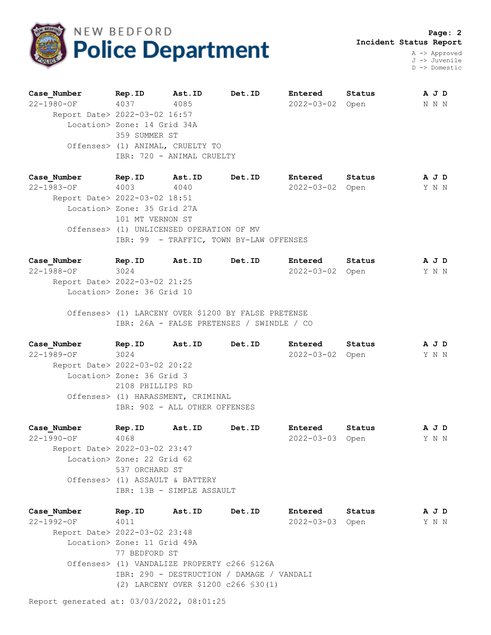

 **Page: 2 Incident Status Report**

A -> Approved J -> Juvenile D -> Domestic

| Case Number | Rep.ID                                       | Ast.ID | Det.ID | Entered          | Status | A J D |
|-------------|----------------------------------------------|--------|--------|------------------|--------|-------|
| 22-1980-OF  | 4037                                         | 4085   |        | $2022 - 03 - 02$ | Open   | N N N |
|             | Report Date> 2022-03-02 16:57                |        |        |                  |        |       |
|             | Location> Zone: 14 Grid 34A<br>359 SUMMER ST |        |        |                  |        |       |
|             |                                              |        |        |                  |        |       |
|             | Offenses> (1) ANIMAL, CRUELTY TO             |        |        |                  |        |       |
|             | IBR: 720 - ANIMAL CRUELTY                    |        |        |                  |        |       |
|             |                                              |        |        |                  |        |       |

**Case\_Number Rep.ID Ast.ID Det.ID Entered Status A J D** 22-1983-OF 4003 4040 2022-03-02 Open Y N N Report Date> 2022-03-02 18:51 Location> Zone: 35 Grid 27A 101 MT VERNON ST Offenses> (1) UNLICENSED OPERATION OF MV IBR: 99 - TRAFFIC, TOWN BY-LAW OFFENSES

**Case\_Number Rep.ID Ast.ID Det.ID Entered Status A J D** 22-1988-OF 3024 2022-03-02 Open Y N N Report Date> 2022-03-02 21:25 Location> Zone: 36 Grid 10

 Offenses> (1) LARCENY OVER \$1200 BY FALSE PRETENSE IBR: 26A - FALSE PRETENSES / SWINDLE / CO

**Case\_Number Rep.ID Ast.ID Det.ID Entered Status A J D** 22-1989-OF 3024 2022-03-02 Open Y N N Report Date> 2022-03-02 20:22 Location> Zone: 36 Grid 3 2108 PHILLIPS RD Offenses> (1) HARASSMENT, CRIMINAL IBR: 90Z - ALL OTHER OFFENSES

**Case\_Number Rep.ID Ast.ID Det.ID Entered Status A J D** 22-1990-OF 4068 2022-03-03 Open Y N N Report Date> 2022-03-02 23:47 Location> Zone: 22 Grid 62 537 ORCHARD ST Offenses> (1) ASSAULT & BATTERY IBR: 13B - SIMPLE ASSAULT

**Case\_Number Rep.ID Ast.ID Det.ID Entered Status A J D** 22-1992-OF 4011 2022-03-03 Open Y N N Report Date> 2022-03-02 23:48 Location> Zone: 11 Grid 49A 77 BEDFORD ST Offenses> (1) VANDALIZE PROPERTY c266 §126A IBR: 290 - DESTRUCTION / DAMAGE / VANDALI (2) LARCENY OVER \$1200 c266 §30(1)

Report generated at: 03/03/2022, 08:01:25